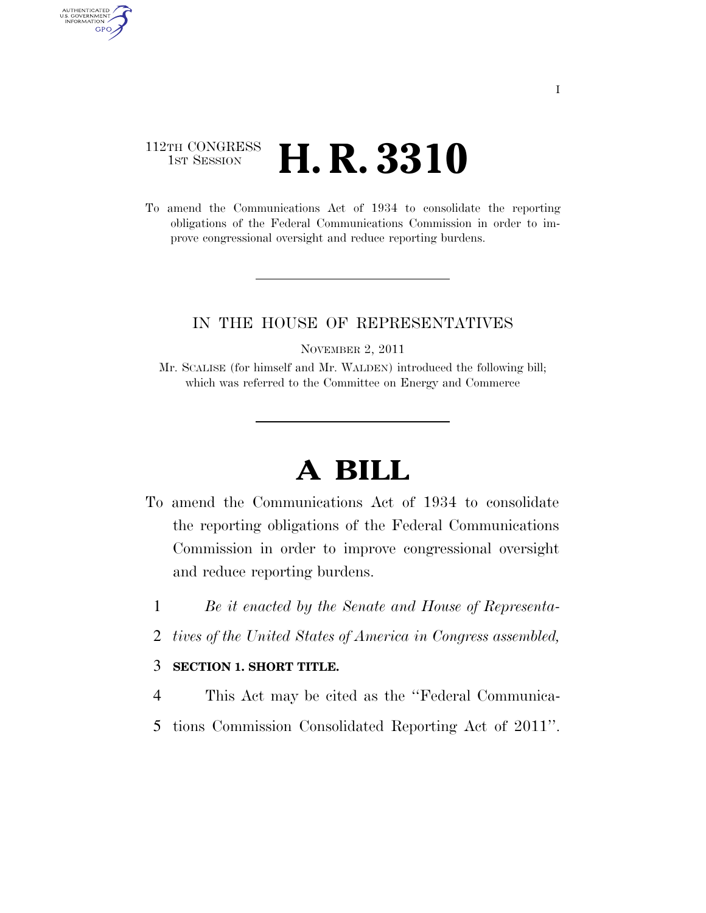## 112TH CONGRESS **1st Session H. R. 3310**

AUTHENTICATED<br>U.S. GOVERNMENT<br>INFORMATION GPO

> To amend the Communications Act of 1934 to consolidate the reporting obligations of the Federal Communications Commission in order to improve congressional oversight and reduce reporting burdens.

#### IN THE HOUSE OF REPRESENTATIVES

NOVEMBER 2, 2011

Mr. SCALISE (for himself and Mr. WALDEN) introduced the following bill; which was referred to the Committee on Energy and Commerce

# **A BILL**

- To amend the Communications Act of 1934 to consolidate the reporting obligations of the Federal Communications Commission in order to improve congressional oversight and reduce reporting burdens.
	- 1 *Be it enacted by the Senate and House of Representa-*
	- 2 *tives of the United States of America in Congress assembled,*

#### 3 **SECTION 1. SHORT TITLE.**

- 4 This Act may be cited as the ''Federal Communica-
- 5 tions Commission Consolidated Reporting Act of 2011''.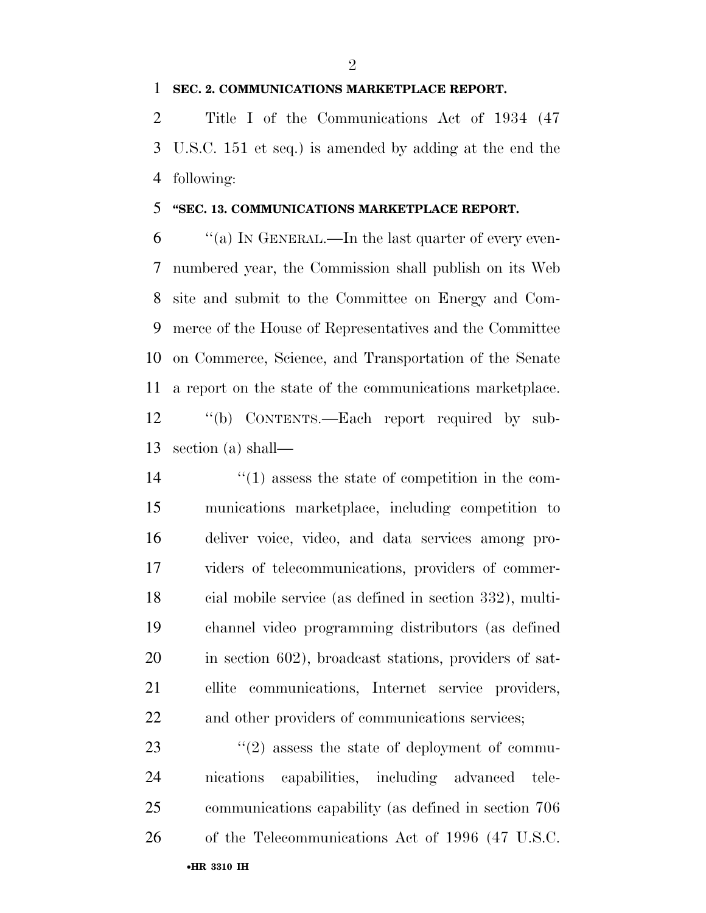#### **SEC. 2. COMMUNICATIONS MARKETPLACE REPORT.**

 Title I of the Communications Act of 1934 (47 U.S.C. 151 et seq.) is amended by adding at the end the following:

#### **''SEC. 13. COMMUNICATIONS MARKETPLACE REPORT.**

 $\frac{6}{100}$  ''(a) In GENERAL.—In the last quarter of every even- numbered year, the Commission shall publish on its Web site and submit to the Committee on Energy and Com- merce of the House of Representatives and the Committee on Commerce, Science, and Transportation of the Senate a report on the state of the communications marketplace. ''(b) CONTENTS.—Each report required by sub-section (a) shall—

 $\frac{1}{2}$  (1) assess the state of competition in the com- munications marketplace, including competition to deliver voice, video, and data services among pro- viders of telecommunications, providers of commer- cial mobile service (as defined in section 332), multi- channel video programming distributors (as defined in section 602), broadcast stations, providers of sat- ellite communications, Internet service providers, and other providers of communications services;

•**HR 3310 IH** 23 ''(2) assess the state of deployment of commu- nications capabilities, including advanced tele- communications capability (as defined in section 706 of the Telecommunications Act of 1996 (47 U.S.C.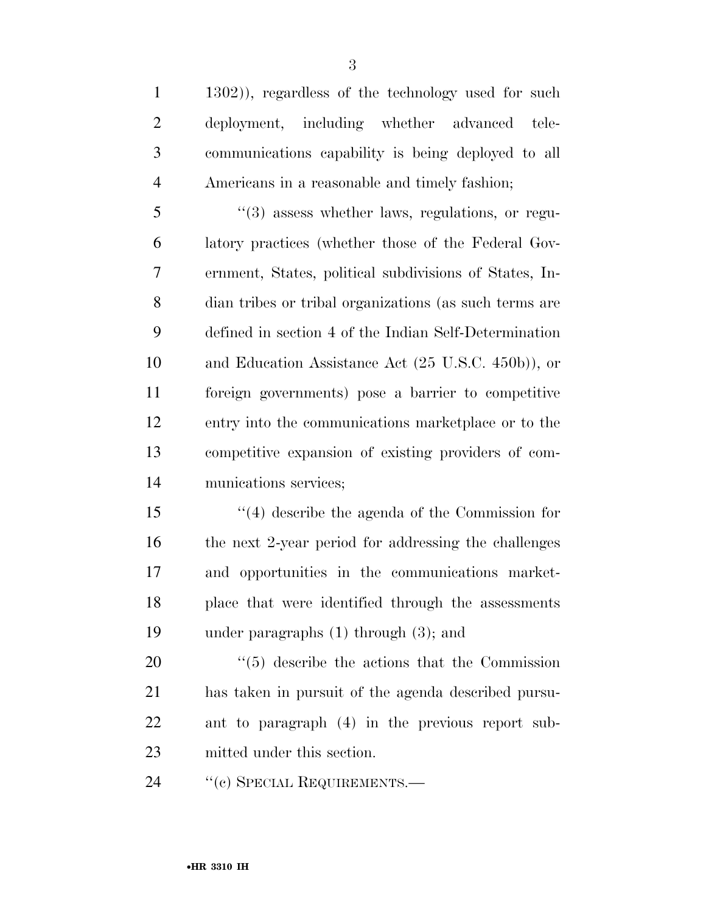1302)), regardless of the technology used for such deployment, including whether advanced tele- communications capability is being deployed to all Americans in a reasonable and timely fashion;

 ''(3) assess whether laws, regulations, or regu- latory practices (whether those of the Federal Gov- ernment, States, political subdivisions of States, In- dian tribes or tribal organizations (as such terms are defined in section 4 of the Indian Self-Determination and Education Assistance Act (25 U.S.C. 450b)), or foreign governments) pose a barrier to competitive entry into the communications marketplace or to the competitive expansion of existing providers of com-munications services;

 ''(4) describe the agenda of the Commission for the next 2-year period for addressing the challenges and opportunities in the communications market- place that were identified through the assessments under paragraphs (1) through (3); and

 $\frac{1}{20}$  (5) describe the actions that the Commission has taken in pursuit of the agenda described pursu- ant to paragraph (4) in the previous report sub-mitted under this section.

24 "(c) SPECIAL REQUIREMENTS.—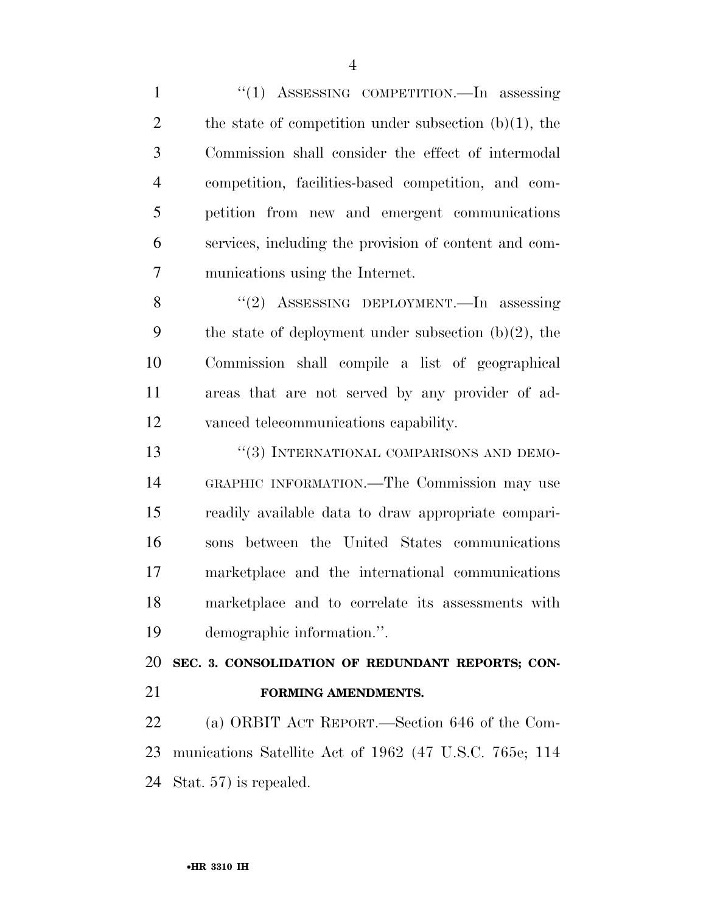1 "(1) ASSESSING COMPETITION.—In assessing 2 the state of competition under subsection  $(b)(1)$ , the Commission shall consider the effect of intermodal competition, facilities-based competition, and com- petition from new and emergent communications services, including the provision of content and com-munications using the Internet.

 ''(2) ASSESSING DEPLOYMENT.—In assessing 9 the state of deployment under subsection  $(b)(2)$ , the Commission shall compile a list of geographical areas that are not served by any provider of ad-vanced telecommunications capability.

13 "(3) INTERNATIONAL COMPARISONS AND DEMO- GRAPHIC INFORMATION.—The Commission may use readily available data to draw appropriate compari- sons between the United States communications marketplace and the international communications marketplace and to correlate its assessments with demographic information.''.

**SEC. 3. CONSOLIDATION OF REDUNDANT REPORTS; CON-**

#### **FORMING AMENDMENTS.**

 (a) ORBIT ACT REPORT.—Section 646 of the Com- munications Satellite Act of 1962 (47 U.S.C. 765e; 114 Stat. 57) is repealed.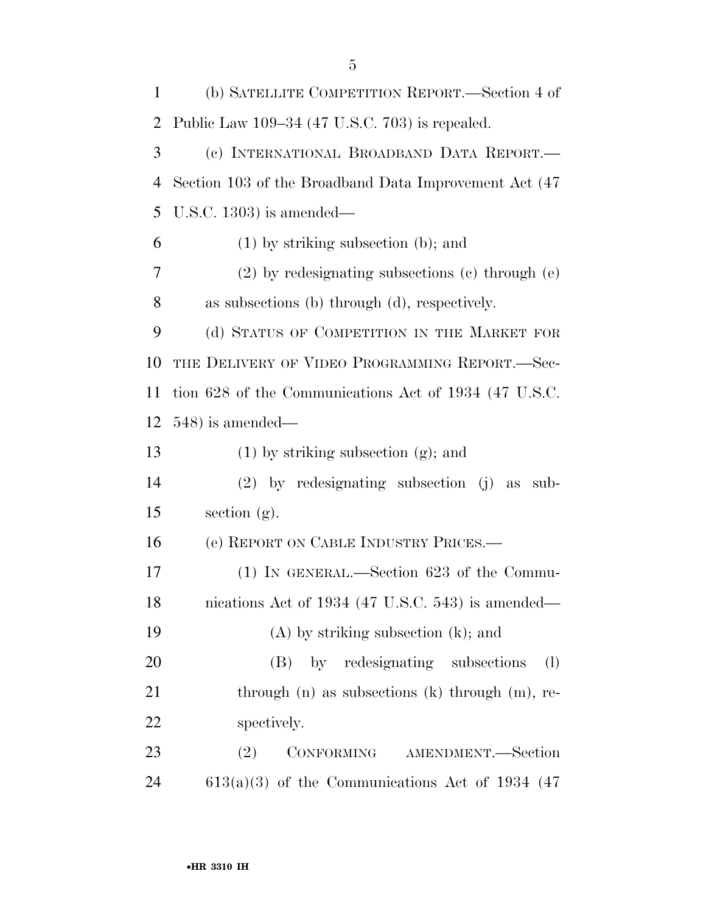| $\mathbf{1}$   | (b) SATELLITE COMPETITION REPORT.—Section 4 of         |
|----------------|--------------------------------------------------------|
| 2              | Public Law 109–34 (47 U.S.C. 703) is repealed.         |
| 3              | (c) INTERNATIONAL BROADBAND DATA REPORT.—              |
| $\overline{4}$ | Section 103 of the Broadband Data Improvement Act (47) |
| 5              | U.S.C. 1303) is amended—                               |
| 6              | $(1)$ by striking subsection (b); and                  |
| 7              | $(2)$ by redesignating subsections $(e)$ through $(e)$ |
| 8              | as subsections (b) through (d), respectively.          |
| 9              | (d) STATUS OF COMPETITION IN THE MARKET FOR            |
| 10             | THE DELIVERY OF VIDEO PROGRAMMING REPORT.-Sec-         |
| 11             | tion 628 of the Communications Act of 1934 (47 U.S.C.  |
| 12             | $548$ ) is amended—                                    |
| 13             | $(1)$ by striking subsection $(g)$ ; and               |
| 14             | $(2)$ by redesignating subsection (j) as<br>sub-       |
| 15             | section $(g)$ .                                        |
| 16             | (e) REPORT ON CABLE INDUSTRY PRICES.                   |
| 17             | $(1)$ In GENERAL.—Section 623 of the Commu-            |
| 18             | nications Act of 1934 (47 U.S.C. 543) is amended—      |
| 19             | $(A)$ by striking subsection $(k)$ ; and               |
| 20             | (B) by redesignating subsections<br>(1)                |
| 21             | through $(n)$ as subsections $(k)$ through $(m)$ , re- |
| 22             | spectively.                                            |
| 23             | CONFORMING AMENDMENT.-Section<br>(2)                   |
| 24             | $613(a)(3)$ of the Communications Act of 1934 (47)     |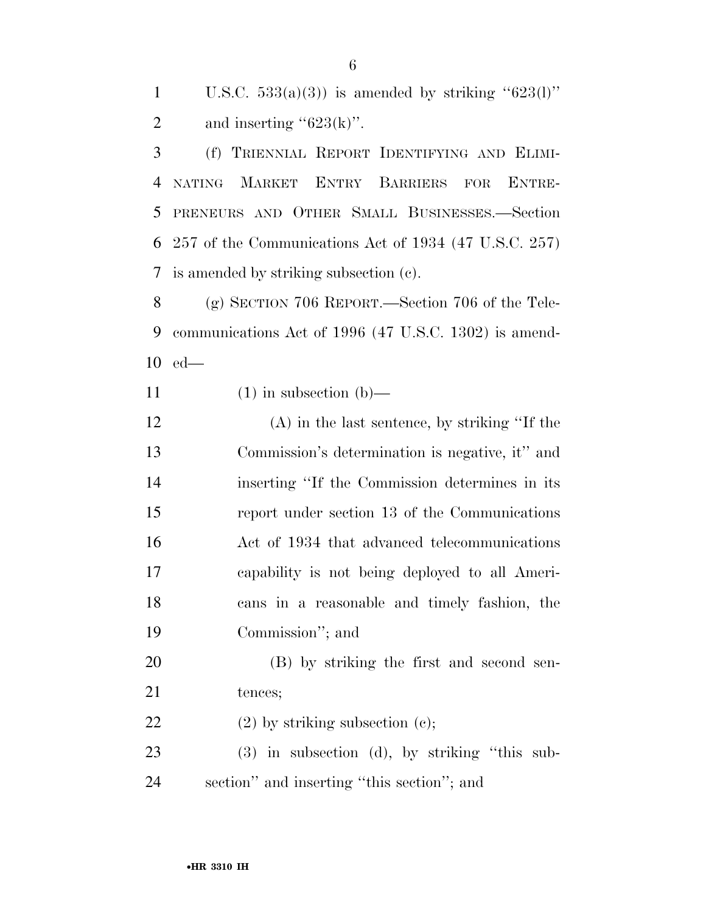1 U.S.C.  $533(a)(3)$  is amended by striking " $623(1)$ " 2 and inserting " $623(k)$ ".

 (f) TRIENNIAL REPORT IDENTIFYING AND ELIMI- NATING MARKET ENTRY BARRIERS FOR ENTRE- PRENEURS AND OTHER SMALL BUSINESSES.—Section 257 of the Communications Act of 1934 (47 U.S.C. 257) is amended by striking subsection (c).

 (g) SECTION 706 REPORT.—Section 706 of the Tele- communications Act of 1996 (47 U.S.C. 1302) is amend-ed—

11 (1) in subsection (b)—

 (A) in the last sentence, by striking ''If the Commission's determination is negative, it'' and inserting ''If the Commission determines in its report under section 13 of the Communications Act of 1934 that advanced telecommunications capability is not being deployed to all Ameri- cans in a reasonable and timely fashion, the Commission''; and

 (B) by striking the first and second sen-21 tences;

22 (2) by striking subsection (c);

 (3) in subsection (d), by striking ''this sub-section'' and inserting ''this section''; and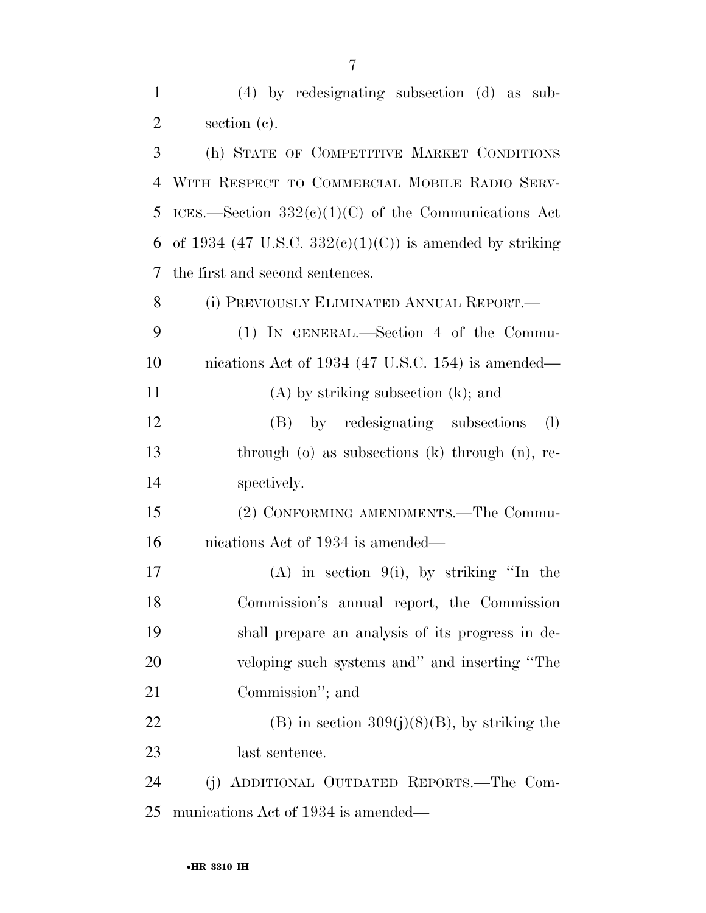| $\mathbf{1}$   | $(4)$ by redesignating subsection $(d)$ as sub-             |
|----------------|-------------------------------------------------------------|
| $\overline{2}$ | section (c).                                                |
| 3              | (h) STATE OF COMPETITIVE MARKET CONDITIONS                  |
| $\overline{4}$ | WITH RESPECT TO COMMERCIAL MOBILE RADIO SERV-               |
| 5              | ICES.—Section $332(e)(1)(C)$ of the Communications Act      |
| 6              | of 1934 (47 U.S.C. 332 $(e)(1)(C)$ ) is amended by striking |
| 7              | the first and second sentences.                             |
| 8              | (i) PREVIOUSLY ELIMINATED ANNUAL REPORT.—                   |
| 9              | $(1)$ IN GENERAL.—Section 4 of the Commu-                   |
| 10             | nications Act of 1934 (47 U.S.C. 154) is amended—           |
| 11             | $(A)$ by striking subsection $(k)$ ; and                    |
| 12             | (B) by redesignating subsections<br>(1)                     |
| 13             | through $(o)$ as subsections $(k)$ through $(n)$ , re-      |
| 14             | spectively.                                                 |
| 15             | (2) CONFORMING AMENDMENTS.—The Commu-                       |
| 16             | nications Act of 1934 is amended—                           |
| 17             | $(A)$ in section 9(i), by striking "In the                  |
| 18             | Commission's annual report, the Commission                  |
| 19             | shall prepare an analysis of its progress in de-            |
| 20             | veloping such systems and" and inserting "The               |
| 21             | Commission"; and                                            |
| 22             | $(B)$ in section 309(j)(8)(B), by striking the              |
| 23             | last sentence.                                              |
| 24             | (j) ADDITIONAL OUTDATED REPORTS.—The Com-                   |
| 25             | munications Act of 1934 is amended—                         |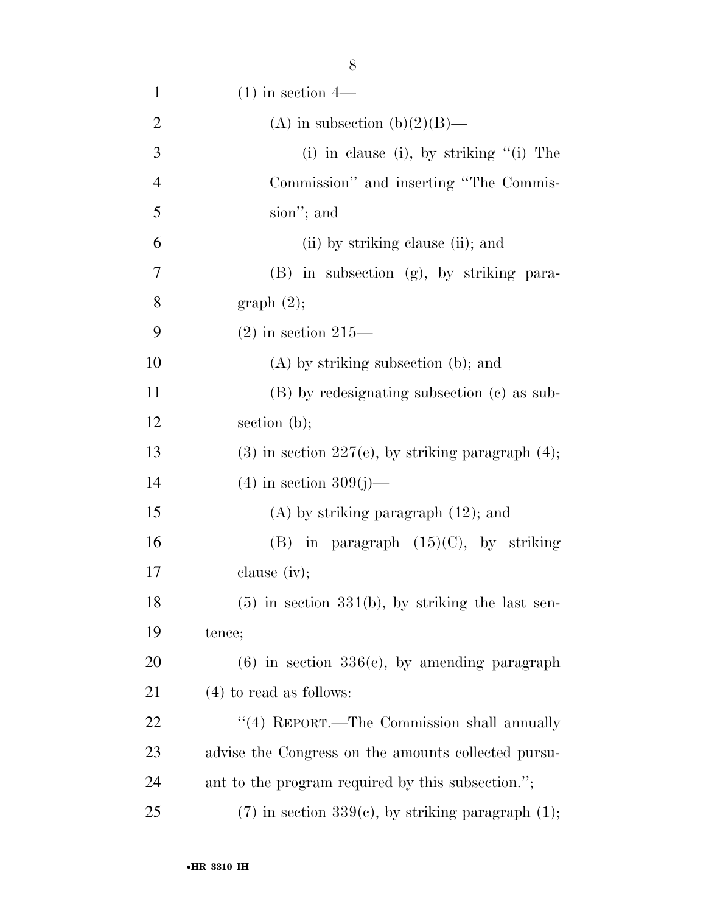| $\mathbf{1}$   | $(1)$ in section 4—                                    |
|----------------|--------------------------------------------------------|
| $\overline{2}$ | (A) in subsection (b)(2)(B)—                           |
| 3              | $(i)$ in clause $(i)$ , by striking " $(i)$ The        |
| $\overline{4}$ | Commission" and inserting "The Commis-                 |
| 5              | sion"; and                                             |
| 6              | (ii) by striking clause (ii); and                      |
| 7              | $(B)$ in subsection $(g)$ , by striking para-          |
| 8              | graph(2);                                              |
| 9              | $(2)$ in section 215—                                  |
| 10             | $(A)$ by striking subsection (b); and                  |
| 11             | (B) by redesignating subsection (c) as sub-            |
| 12             | section $(b)$ ;                                        |
| 13             | $(3)$ in section 227(e), by striking paragraph $(4)$ ; |
| 14             | $(4)$ in section 309(j)—                               |
| 15             | $(A)$ by striking paragraph $(12)$ ; and               |
| 16             | (B) in paragraph $(15)(C)$ , by striking               |
| 17             | clause $(iv);$                                         |
| 18             | $(5)$ in section 331(b), by striking the last sen-     |
| 19             | tence;                                                 |
| <b>20</b>      | $(6)$ in section 336 $(e)$ , by amending paragraph     |
| 21             | $(4)$ to read as follows:                              |
| 22             | "(4) REPORT.—The Commission shall annually             |
| 23             | advise the Congress on the amounts collected pursu-    |
| 24             | ant to the program required by this subsection.";      |
| 25             | $(7)$ in section 339(c), by striking paragraph $(1)$ ; |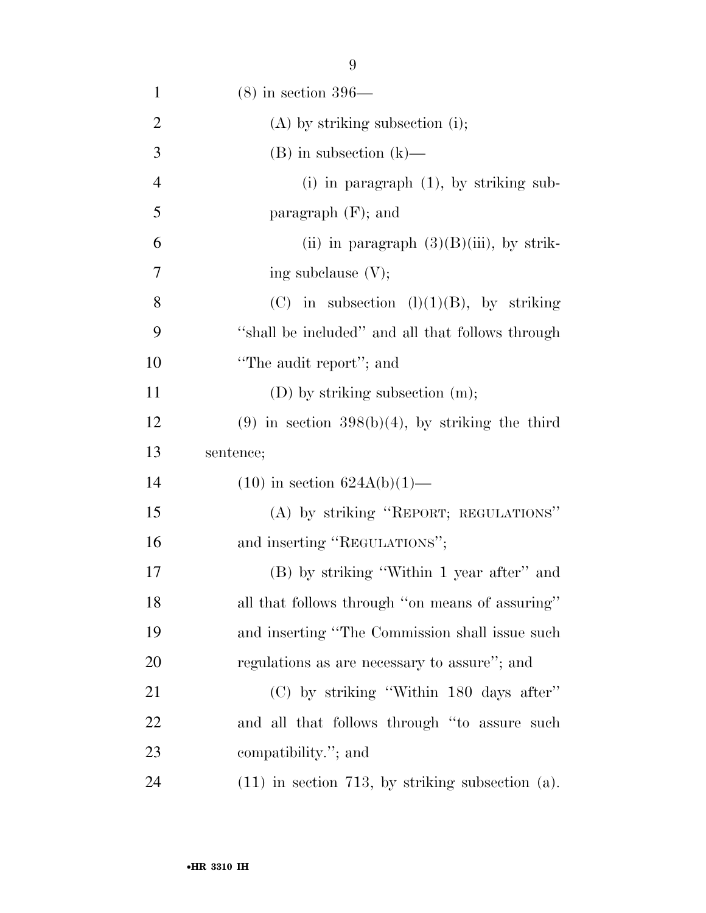| $\mathbf{1}$   | $(8)$ in section 396—                             |
|----------------|---------------------------------------------------|
| $\overline{2}$ | $(A)$ by striking subsection (i);                 |
| 3              | $(B)$ in subsection $(k)$ —                       |
| $\overline{4}$ | $(i)$ in paragraph $(1)$ , by striking sub-       |
| 5              | paragraph $(F)$ ; and                             |
| 6              | (ii) in paragraph $(3)(B)(iii)$ , by strik-       |
| 7              | ing subclause $(V)$ ;                             |
| 8              | (C) in subsection $(l)(1)(B)$ , by striking       |
| 9              | "shall be included" and all that follows through  |
| 10             | "The audit report"; and                           |
| 11             | $(D)$ by striking subsection $(m)$ ;              |
| 12             | $(9)$ in section 398(b)(4), by striking the third |
|                |                                                   |
| 13             | sentence;                                         |
| 14             | $(10)$ in section $624A(b)(1)$ —                  |
| 15             | (A) by striking "REPORT; REGULATIONS"             |
| 16             | and inserting "REGULATIONS";                      |
| 17             | (B) by striking "Within 1 year after" and         |
| 18             | all that follows through "on means of assuring"   |
| 19             | and inserting "The Commission shall issue such    |
| 20             | regulations as are necessary to assure"; and      |
| 21             | (C) by striking "Within 180 days after"           |
| 22             | and all that follows through "to assure such      |
| 23             | compatibility."; and                              |